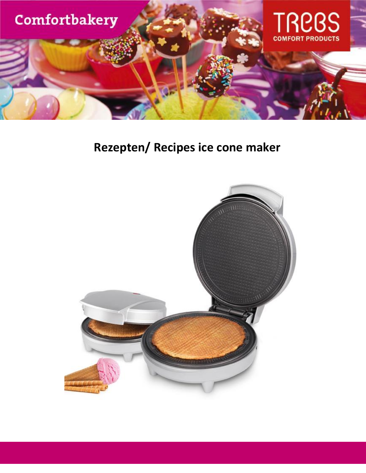

## Rezepten/ Recipes ice cone maker

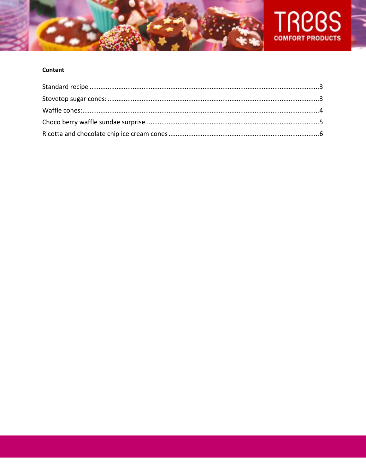



### Content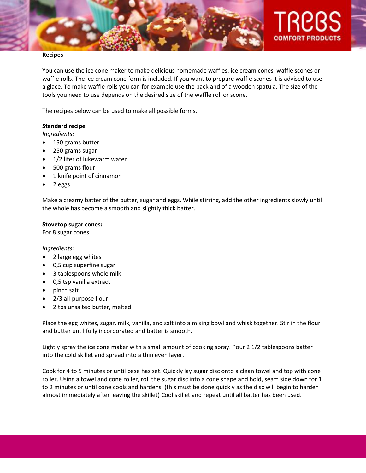

#### **Recipes**

You can use the ice cone maker to make delicious homemade waffles, ice cream cones, waffle scones or waffle rolls. The ice cream cone form is included. If you want to prepare waffle scones it is advised to use a glace. To make waffle rolls you can for example use the back and of a wooden spatula. The size of the tools you need to use depends on the desired size of the waffle roll or scone.

The recipes below can be used to make all possible forms.

#### <span id="page-2-0"></span>**Standard recipe**

*Ingredients:*

- 150 grams butter
- 250 grams sugar
- 1/2 liter of lukewarm water
- 500 grams flour
- 1 knife point of cinnamon
- 2 eggs

Make a creamy batter of the butter, sugar and eggs. While stirring, add the other ingredients slowly until the whole has become a smooth and slightly thick batter.

#### <span id="page-2-1"></span>**Stovetop sugar cones:**

For 8 sugar cones

*Ingredients:*

- 2 large egg whites
- 0,5 cup superfine sugar
- 3 tablespoons whole milk
- 0,5 tsp vanilla extract
- pinch salt
- 2/3 all-purpose flour
- 2 tbs unsalted butter, melted

Place the egg whites, sugar, milk, vanilla, and salt into a mixing bowl and whisk together. Stir in the flour and butter until fully incorporated and batter is smooth.

Lightly spray the ice cone maker with a small amount of cooking spray. Pour 2 1/2 tablespoons batter into the cold skillet and spread into a thin even layer.

Cook for 4 to 5 minutes or until base has set. Quickly lay sugar disc onto a clean towel and top with cone roller. Using a towel and cone roller, roll the sugar disc into a cone shape and hold, seam side down for 1 to 2 minutes or until cone cools and hardens. (this must be done quickly as the disc will begin to harden almost immediately after leaving the skillet) Cool skillet and repeat until all batter has been used.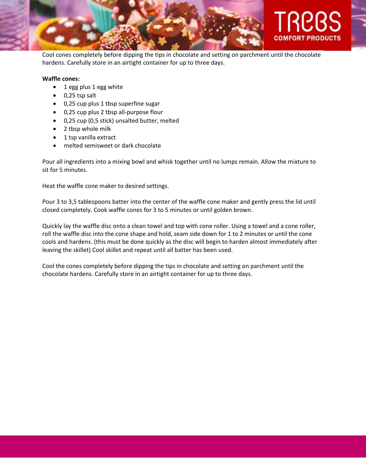

Cool cones completely before dipping the tips in chocolate and setting on parchment until the chocolate hardens. Carefully store in an airtight container for up to three days.

#### <span id="page-3-0"></span>**Waffle cones:**

- 1 egg plus 1 egg white
- $\bullet$  0,25 tsp salt
- 0,25 cup plus 1 tbsp superfine sugar
- 0,25 cup plus 2 tbsp all-purpose flour
- 0,25 cup (0,5 stick) unsalted butter, melted
- 2 tbsp whole milk
- 1 tsp vanilla extract
- melted semisweet or dark chocolate

Pour all ingredients into a mixing bowl and whisk together until no lumps remain. Allow the mixture to sit for 5 minutes.

Heat the waffle cone maker to desired settings.

Pour 3 to 3,5 tablespoons batter into the center of the waffle cone maker and gently press the lid until closed completely. Cook waffle cones for 3 to 5 minutes or until golden brown.

Quickly lay the waffle disc onto a clean towel and top with cone roller. Using a towel and a cone roller, roll the waffle disc into the cone shape and hold, seam side down for 1 to 2 minutes or until the cone cools and hardens. (this must be done quickly as the disc will begin to harden almost immediately after leaving the skillet) Cool skillet and repeat until all batter has been used.

Cool the cones completely before dipping the tips in chocolate and setting on parchment until the chocolate hardens. Carefully store in an airtight container for up to three days.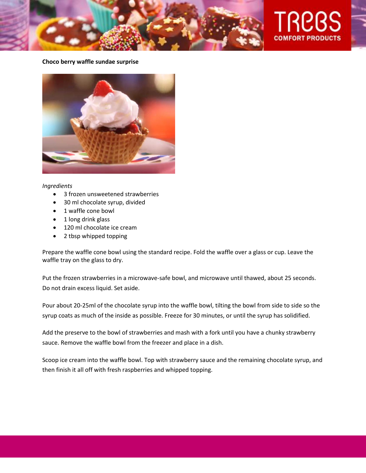

#### <span id="page-4-0"></span>**Choco berry waffle sundae surprise**



#### *Ingredients*

- 3 frozen unsweetened strawberries
- 30 ml chocolate syrup, divided
- 1 waffle cone bowl
- 1 long drink glass
- 120 ml chocolate ice cream
- 2 tbsp whipped topping

Prepare the waffle cone bowl using the standard recipe. Fold the waffle over a glass or cup. Leave the waffle tray on the glass to dry.

Put the frozen strawberries in a microwave-safe bowl, and microwave until thawed, about 25 seconds. Do not drain excess liquid. Set aside.

Pour about 20-25ml of the chocolate syrup into the waffle bowl, tilting the bowl from side to side so the syrup coats as much of the inside as possible. Freeze for 30 minutes, or until the syrup has solidified.

Add the preserve to the bowl of strawberries and mash with a fork until you have a chunky strawberry sauce. Remove the waffle bowl from the freezer and place in a dish.

Scoop ice cream into the waffle bowl. Top with strawberry sauce and the remaining chocolate syrup, and then finish it all off with fresh raspberries and whipped topping.